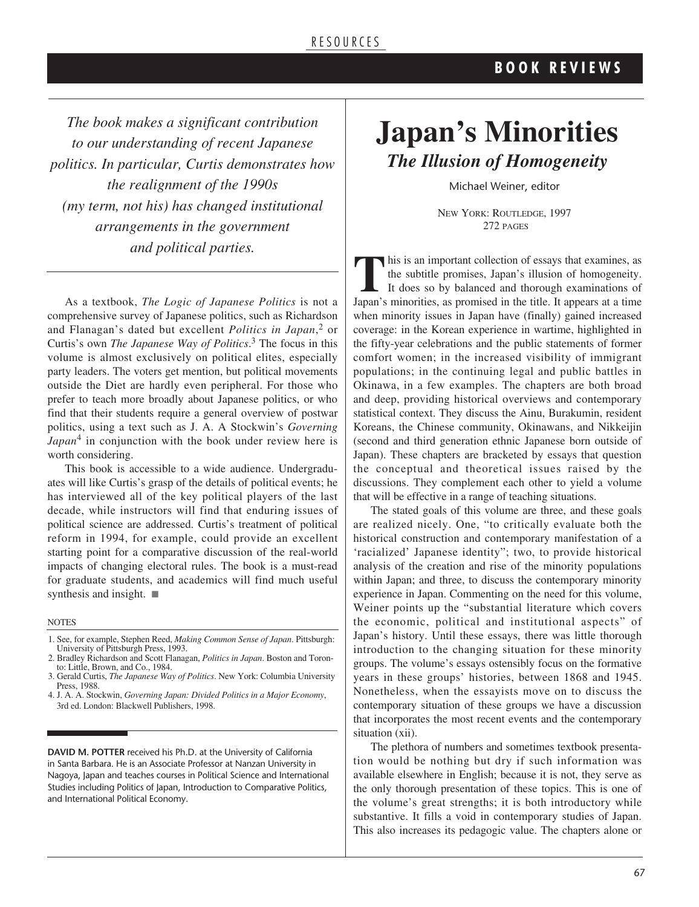*The book makes a significant contribution to our understanding of recent Japanese politics. In particular, Curtis demonstrates how the realignment of the 1990s (my term, not his) has changed institutional arrangements in the government and political parties.*

As a textbook, *The Logic of Japanese Politics* is not a comprehensive survey of Japanese politics, such as Richardson and Flanagan's dated but excellent *Politics in Japan*, <sup>2</sup> or Curtis's own *The Japanese Way of Politics*. <sup>3</sup> The focus in this volume is almost exclusively on political elites, especially party leaders. The voters get mention, but political movements outside the Diet are hardly even peripheral. For those who prefer to teach more broadly about Japanese politics, or who find that their students require a general overview of postwar politics, using a text such as J. A. A Stockwin's *Governing Japan*<sup>4</sup> in conjunction with the book under review here is worth considering.

This book is accessible to a wide audience. Undergraduates will like Curtis's grasp of the details of political events; he has interviewed all of the key political players of the last decade, while instructors will find that enduring issues of political science are addressed. Curtis's treatment of political reform in 1994, for example, could provide an excellent starting point for a comparative discussion of the real-world impacts of changing electoral rules. The book is a must-read for graduate students, and academics will find much useful synthesis and insight.  $\blacksquare$ 

NOTES

- 1. See, for example, Stephen Reed, *Making Common Sense of Japan*. Pittsburgh: University of Pittsburgh Press, 1993.
- 2. Bradley Richardson and Scott Flanagan, *Politics in Japan*. Boston and Toronto: Little, Brown, and Co., 1984.
- 3. Gerald Curtis, *The Japanese Way of Politics*. New York: Columbia University Press, 1988.
- 4. J. A. A. Stockwin, *Governing Japan: Divided Politics in a Major Economy*, 3rd ed. London: Blackwell Publishers, 1998.

**DAVID M. POTTER** received his Ph.D. at the University of California in Santa Barbara. He is an Associate Professor at Nanzan University in Nagoya, Japan and teaches courses in Political Science and International Studies including Politics of Japan, Introduction to Comparative Politics, and International Political Economy.

## **Japan's Minorities** *The Illusion of Homogeneity*

Michael Weiner, editor

NEW YORK: ROUTLEDGE, 1997 272 PAGES

**T**his is an important collection of essays that examines, as the subtitle promises, Japan's illusion of homogeneity. It does so by balanced and thorough examinations of Japan's minorities, as promised in the title. It appears at a time when minority issues in Japan have (finally) gained increased coverage: in the Korean experience in wartime, highlighted in the fifty-year celebrations and the public statements of former comfort women; in the increased visibility of immigrant populations; in the continuing legal and public battles in Okinawa, in a few examples. The chapters are both broad and deep, providing historical overviews and contemporary statistical context. They discuss the Ainu, Burakumin, resident Koreans, the Chinese community, Okinawans, and Nikkeijin (second and third generation ethnic Japanese born outside of Japan). These chapters are bracketed by essays that question the conceptual and theoretical issues raised by the discussions. They complement each other to yield a volume that will be effective in a range of teaching situations.

The stated goals of this volume are three, and these goals are realized nicely. One, "to critically evaluate both the historical construction and contemporary manifestation of a 'racialized' Japanese identity"; two, to provide historical analysis of the creation and rise of the minority populations within Japan; and three, to discuss the contemporary minority experience in Japan. Commenting on the need for this volume, Weiner points up the "substantial literature which covers the economic, political and institutional aspects" of Japan's history. Until these essays, there was little thorough introduction to the changing situation for these minority groups. The volume's essays ostensibly focus on the formative years in these groups' histories, between 1868 and 1945. Nonetheless, when the essayists move on to discuss the contemporary situation of these groups we have a discussion that incorporates the most recent events and the contemporary situation (xii).

The plethora of numbers and sometimes textbook presentation would be nothing but dry if such information was available elsewhere in English; because it is not, they serve as the only thorough presentation of these topics. This is one of the volume's great strengths; it is both introductory while substantive. It fills a void in contemporary studies of Japan. This also increases its pedagogic value. The chapters alone or